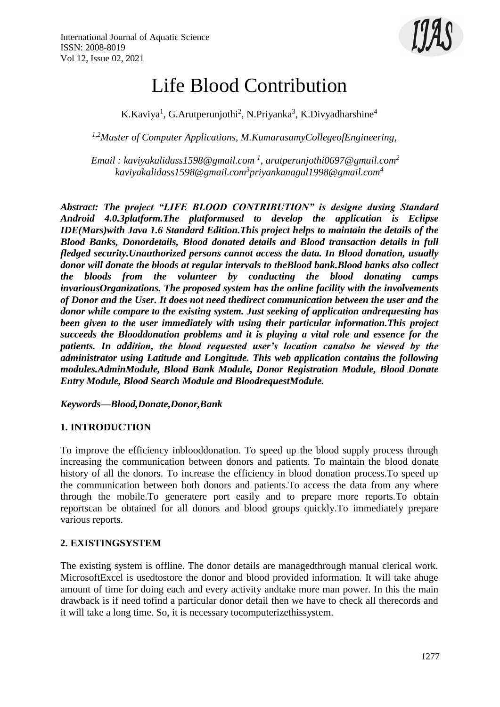

# Life Blood Contribution

K.Kaviya<sup>1</sup>, G.Arutperunjothi<sup>2</sup>, N.Priyanka<sup>3</sup>, K.Divyadharshine<sup>4</sup>

*1,2Master of Computer Applications, M.KumarasamyCollegeofEngineering,*

*Email : [kaviyakalidass1598@gmail.com](mailto:meenaselvarajmca@gmail.com) <sup>1</sup> [, arutperunjothi0697@gmail.com](mailto:svanithasubuz@gmail.com2)<sup>2</sup> [kaviyakalidass1598@gmail.com](mailto:kiruthikamsk@gmail.com3)<sup>3</sup> [priyankanagul1998@gmail.com](mailto:kiruthikamsk@gmail.com3)<sup>4</sup>*

*Abstract: The project "LIFE BLOOD CONTRIBUTION" is designe dusing Standard Android 4.0.3platform.The platformused to develop the application is Eclipse IDE(Mars)with Java 1.6 Standard Edition.This project helps to maintain the details of the Blood Banks, Donordetails, Blood donated details and Blood transaction details in full fledged security.Unauthorized persons cannot access the data. In Blood donation, usually donor will donate the bloods at regular intervals to theBlood bank.Blood banks also collect the bloods from the volunteer by conducting the blood donating camps invariousOrganizations. The proposed system has the online facility with the involvements of Donor and the User. It does not need thedirect communication between the user and the donor while compare to the existing system. Just seeking of application andrequesting has been given to the user immediately with using their particular information.This project succeeds the Blooddonation problems and it is playing a vital role and essence for the patients. In addition, the blood requested user's location canalso be viewed by the administrator using Latitude and Longitude. This web application contains the following modules.AdminModule, Blood Bank Module, Donor Registration Module, Blood Donate Entry Module, Blood Search Module and BloodrequestModule.*

*Keywords—Blood,Donate,Donor,Bank*

# **1. INTRODUCTION**

To improve the efficiency inblooddonation. To speed up the blood supply process through increasing the communication between donors and patients. To maintain the blood donate history of all the donors. To increase the efficiency in blood donation process.To speed up the communication between both donors and patients.To access the data from any where through the mobile.To generatere port easily and to prepare more reports.To obtain reportscan be obtained for all donors and blood groups quickly.To immediately prepare various reports.

# **2. EXISTINGSYSTEM**

The existing system is offline. The donor details are managedthrough manual clerical work. MicrosoftExcel is usedtostore the donor and blood provided information. It will take ahuge amount of time for doing each and every activity andtake more man power. In this the main drawback is if need tofind a particular donor detail then we have to check all therecords and it will take a long time. So, it is necessary tocomputerizethissystem.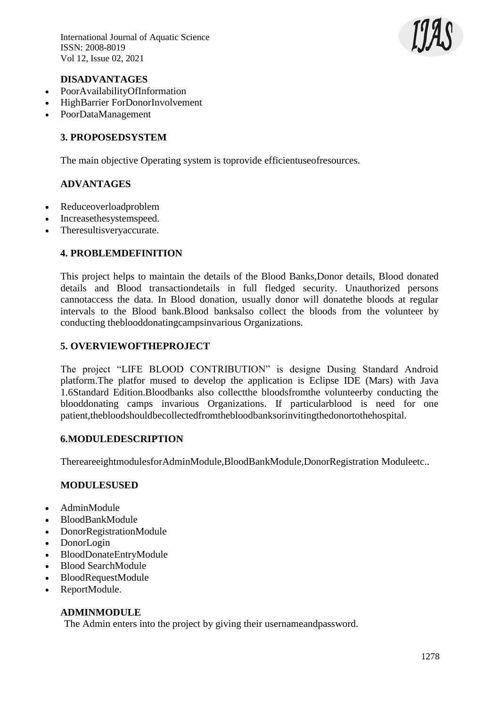International Journal of Aquatic Science ISSN: 2008-8019 Vol 12, Issue 02, 2021



### **DISADVANTAGES**

- PoorAvailabilityOfInformation
- HighBarrier ForDonorInvolvement
- PoorDataManagement

# **3. PROPOSEDSYSTEM**

The main objective Operating system is toprovide efficientuseofresources.

# **ADVANTAGES**

- Reduceoverloadproblem
- Increasethesystemspeed.
- Theresultisveryaccurate.

## **4. PROBLEMDEFINITION**

This project helps to maintain the details of the Blood Banks,Donor details, Blood donated details and Blood transactiondetails in full fledged security. Unauthorized persons cannotaccess the data. In Blood donation, usually donor will donatethe bloods at regular intervals to the Blood bank.Blood banksalso collect the bloods from the volunteer by conducting theblooddonatingcampsinvarious Organizations.

# **5. OVERVIEWOFTHEPROJECT**

The project "LIFE BLOOD CONTRIBUTION" is designe Dusing Standard Android platform.The platfor mused to develop the application is Eclipse IDE (Mars) with Java 1.6Standard Edition.Bloodbanks also collectthe bloodsfromthe volunteerby conducting the blooddonating camps invarious Organizations. If particularblood is need for one patient,thebloodshouldbecollectedfromthebloodbanksorinvitingthedonortothehospital.

#### **6.MODULEDESCRIPTION**

ThereareeightmodulesforAdminModule,BloodBankModule,DonorRegistration Moduleetc..

#### **MODULESUSED**

- AdminModule
- BloodBankModule
- DonorRegistrationModule
- DonorLogin
- BloodDonateEntryModule
- Blood SearchModule
- BloodRequestModule
- ReportModule.

# **ADMINMODULE**

The Admin enters into the project by giving their usernameandpassword.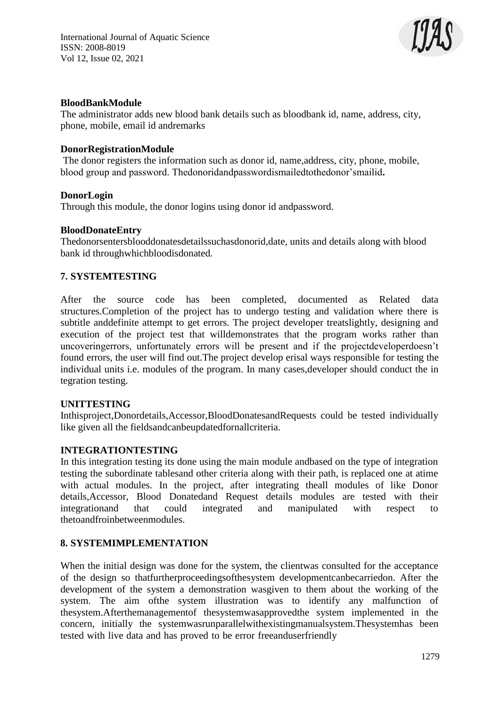

## **BloodBankModule**

The administrator adds new blood bank details such as bloodbank id, name, address, city, phone, mobile, email id andremarks

#### **DonorRegistrationModule**

The donor registers the information such as donor id, name,address, city, phone, mobile, blood group and password. Thedonoridandpasswordismailedtothedonor'smailid**.**

#### **DonorLogin**

Through this module, the donor logins using donor id andpassword.

## **BloodDonateEntry**

Thedonorsentersblooddonatesdetailssuchasdonorid,date, units and details along with blood bank id throughwhichbloodisdonated*.*

## **7. SYSTEMTESTING**

After the source code has been completed, documented as Related data structures.Completion of the project has to undergo testing and validation where there is subtitle anddefinite attempt to get errors. The project developer treatslightly, designing and execution of the project test that willdemonstrates that the program works rather than uncoveringerrors, unfortunately errors will be present and if the projectdeveloperdoesn't found errors, the user will find out.The project develop erisal ways responsible for testing the individual units i.e. modules of the program. In many cases,developer should conduct the in tegration testing.

#### **UNITTESTING**

Inthisproject,Donordetails,Accessor,BloodDonatesandRequests could be tested individually like given all the fieldsandcanbeupdatedfornallcriteria.

#### **INTEGRATIONTESTING**

In this integration testing its done using the main module andbased on the type of integration testing the subordinate tablesand other criteria along with their path, is replaced one at atime with actual modules. In the project, after integrating theall modules of like Donor details,Accessor, Blood Donatedand Request details modules are tested with their integrationand that could integrated and manipulated with respect to thetoandfroinbetweenmodules.

# **8. SYSTEMIMPLEMENTATION**

When the initial design was done for the system, the clientwas consulted for the acceptance of the design so thatfurtherproceedingsofthesystem developmentcanbecarriedon. After the development of the system a demonstration wasgiven to them about the working of the system. The aim ofthe system illustration was to identify any malfunction of thesystem.Afterthemanagementof thesystemwasapprovedthe system implemented in the concern, initially the systemwasrunparallelwithexistingmanualsystem.Thesystemhas been tested with live data and has proved to be error freeanduserfriendly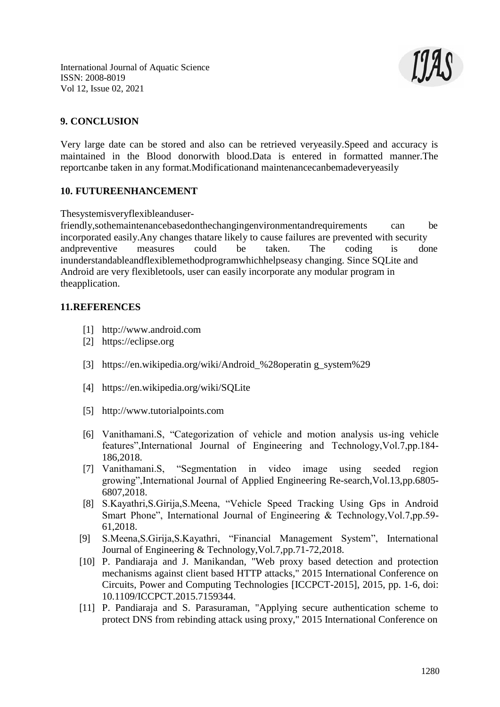International Journal of Aquatic Science ISSN: 2008-8019 Vol 12, Issue 02, 2021



## **9. CONCLUSION**

Very large date can be stored and also can be retrieved veryeasily.Speed and accuracy is maintained in the Blood donorwith blood.Data is entered in formatted manner.The reportcanbe taken in any format.Modificationand maintenancecanbemadeveryeasily

#### **10. FUTUREENHANCEMENT**

Thesystemisveryflexibleanduser-

friendly,sothemaintenancebasedonthechangingenvironmentandrequirements can be incorporated easily.Any changes thatare likely to cause failures are prevented with security andpreventive measures could be taken. The coding is done inunderstandableandflexiblemethodprogramwhichhelpseasy changing. Since SQLite and Android are very flexibletools, user can easily incorporate any modular program in theapplication.

#### **11.REFERENCES**

- [1] [http://www.android.com](http://www.android.com/)
- [2] https://eclipse.org
- [3] https://en.wikipedia.org/wiki/Android\_%28operatin g\_system%29
- [4] https://en.wikipedia.org/wiki/SQLite
- [5] [http://www.tutorialpoints.com](http://www.tutorialpoints.com/)
- [6] Vanithamani.S, "Categorization of vehicle and motion analysis us-ing vehicle features",International Journal of Engineering and Technology,Vol.7,pp.184- 186,2018.
- [7] Vanithamani.S, "Segmentation in video image using seeded region growing",International Journal of Applied Engineering Re-search,Vol.13,pp.6805- 6807,2018.
- [8] S.Kayathri,S.Girija,S.Meena, "Vehicle Speed Tracking Using Gps in Android Smart Phone", International Journal of Engineering & Technology,Vol.7,pp.59- 61,2018.
- [9] S.Meena,S.Girija,S.Kayathri, "Financial Management System", International Journal of Engineering & Technology,Vol.7,pp.71-72,2018.
- [10] P. Pandiaraja and J. Manikandan, "Web proxy based detection and protection mechanisms against client based HTTP attacks," 2015 International Conference on Circuits, Power and Computing Technologies [ICCPCT-2015], 2015, pp. 1-6, doi: 10.1109/ICCPCT.2015.7159344.
- [11] P. Pandiaraja and S. Parasuraman, "Applying secure authentication scheme to protect DNS from rebinding attack using proxy," 2015 International Conference on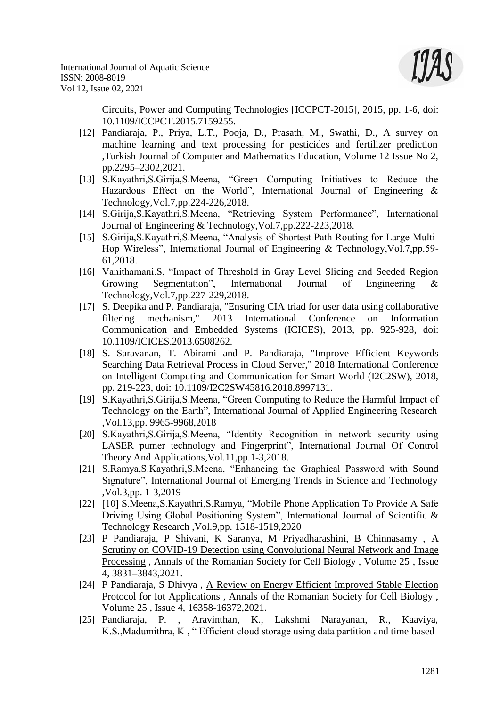

Circuits, Power and Computing Technologies [ICCPCT-2015], 2015, pp. 1-6, doi: 10.1109/ICCPCT.2015.7159255.

- [12] Pandiaraja, P., Priya, L.T., Pooja, D., Prasath, M., Swathi, D., A survey on machine learning and text processing for pesticides and fertilizer prediction ,Turkish Journal of Computer and Mathematics Education, Volume 12 Issue No 2, pp.2295–2302,2021.
- [13] S.Kayathri,S.Girija,S.Meena, "Green Computing Initiatives to Reduce the Hazardous Effect on the World", International Journal of Engineering  $\&$ Technology,Vol.7,pp.224-226,2018.
- [14] S.Girija,S.Kayathri,S.Meena, "Retrieving System Performance", International Journal of Engineering & Technology,Vol.7,pp.222-223,2018.
- [15] S.Girija,S.Kayathri,S.Meena, "Analysis of Shortest Path Routing for Large Multi-Hop Wireless", International Journal of Engineering & Technology,Vol.7,pp.59- 61,2018.
- [16] Vanithamani.S, "Impact of Threshold in Gray Level Slicing and Seeded Region Growing Segmentation", International Journal of Engineering & Technology,Vol.7,pp.227-229,2018.
- [17] S. Deepika and P. Pandiaraja, "Ensuring CIA triad for user data using collaborative filtering mechanism," 2013 International Conference on Information Communication and Embedded Systems (ICICES), 2013, pp. 925-928, doi: 10.1109/ICICES.2013.6508262.
- [18] S. Saravanan, T. Abirami and P. Pandiaraja, "Improve Efficient Keywords Searching Data Retrieval Process in Cloud Server," 2018 International Conference on Intelligent Computing and Communication for Smart World (I2C2SW), 2018, pp. 219-223, doi: 10.1109/I2C2SW45816.2018.8997131.
- [19] S.Kayathri,S.Girija,S.Meena, "Green Computing to Reduce the Harmful Impact of Technology on the Earth", International Journal of Applied Engineering Research ,Vol.13,pp. 9965-9968,2018
- [20] S.Kayathri,S.Girija,S.Meena, "Identity Recognition in network security using LASER pumer technology and Fingerprint", International Journal Of Control Theory And Applications,Vol.11,pp.1-3,2018.
- [21] S.Ramya,S.Kayathri,S.Meena, "Enhancing the Graphical Password with Sound Signature", International Journal of Emerging Trends in Science and Technology ,Vol.3,pp. 1-3,2019
- [22] [10] S.Meena,S.Kayathri,S.Ramya, "Mobile Phone Application To Provide A Safe Driving Using Global Positioning System", International Journal of Scientific & Technology Research ,Vol.9,pp. 1518-1519,2020
- [23] P Pandiaraja, P Shivani, K Saranya, M Priyadharashini, B Chinnasamy , [A](http://annalsofrscb.ro/index.php/journal/article/view/2933) [Scrutiny on COVID-19 Detection using Convolutional Neural Network and Image](http://annalsofrscb.ro/index.php/journal/article/view/2933) [Processing](http://annalsofrscb.ro/index.php/journal/article/view/2933) , Annals of the Romanian Society for Cell Biology , Volume 25 , Issue 4, 3831–3843,2021.
- [24] P Pandiaraja, S Dhivya , [A Review on Energy Efficient Improved Stable Election](http://annalsofrscb.ro/index.php/journal/article/view/5377) [Protocol for Iot Applications](http://annalsofrscb.ro/index.php/journal/article/view/5377) , Annals of the Romanian Society for Cell Biology , Volume 25 , Issue 4, 16358-16372,2021.
- [25] Pandiaraja, P. , Aravinthan, K., Lakshmi Narayanan, R., Kaaviya, K.S.,Madumithra, K , " Efficient cloud storage using data partition and time based